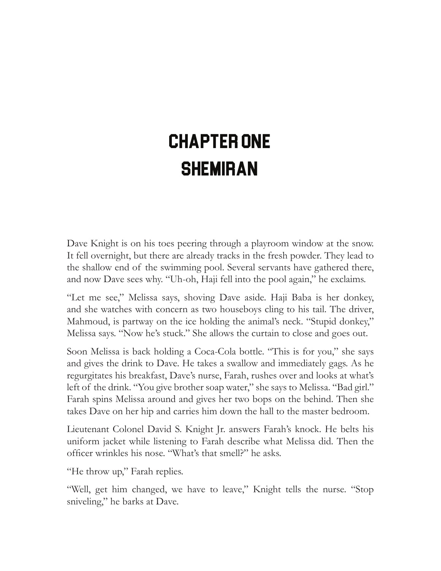## CHAPTER ONE **SHEMIRAN**

Dave Knight is on his toes peering through a playroom window at the snow. It fell overnight, but there are already tracks in the fresh powder. They lead to the shallow end of the swimming pool. Several servants have gathered there, and now Dave sees why. "Uh-oh, Haji fell into the pool again," he exclaims.

"Let me see," Melissa says, shoving Dave aside. Haji Baba is her donkey, and she watches with concern as two houseboys cling to his tail. The driver, Mahmoud, is partway on the ice holding the animal's neck. "Stupid donkey," Melissa says. "Now he's stuck." She allows the curtain to close and goes out.

Soon Melissa is back holding a Coca-Cola bottle. "This is for you," she says and gives the drink to Dave. He takes a swallow and immediately gags. As he regurgitates his breakfast, Dave's nurse, Farah, rushes over and looks at what's left of the drink. "You give brother soap water," she says to Melissa. "Bad girl." Farah spins Melissa around and gives her two bops on the behind. Then she takes Dave on her hip and carries him down the hall to the master bedroom.

Lieutenant Colonel David S. Knight Jr. answers Farah's knock. He belts his uniform jacket while listening to Farah describe what Melissa did. Then the offcer wrinkles his nose. "What's that smell?" he asks.

"He throw up," Farah replies.

"Well, get him changed, we have to leave," Knight tells the nurse. "Stop sniveling," he barks at Dave.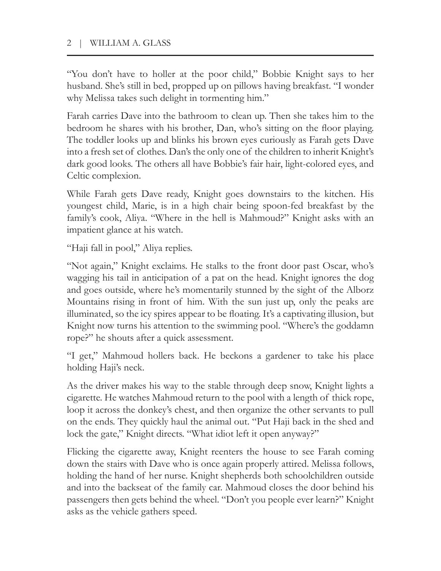"You don't have to holler at the poor child," Bobbie Knight says to her husband. She's still in bed, propped up on pillows having breakfast. "I wonder why Melissa takes such delight in tormenting him."

Farah carries Dave into the bathroom to clean up. Then she takes him to the bedroom he shares with his brother, Dan, who's sitting on the foor playing. The toddler looks up and blinks his brown eyes curiously as Farah gets Dave into a fresh set of clothes. Dan's the only one of the children to inherit Knight's dark good looks. The others all have Bobbie's fair hair, light-colored eyes, and Celtic complexion.

While Farah gets Dave ready, Knight goes downstairs to the kitchen. His youngest child, Marie, is in a high chair being spoon-fed breakfast by the family's cook, Aliya. "Where in the hell is Mahmoud?" Knight asks with an impatient glance at his watch.

"Haji fall in pool," Aliya replies.

"Not again," Knight exclaims. He stalks to the front door past Oscar, who's wagging his tail in anticipation of a pat on the head. Knight ignores the dog and goes outside, where he's momentarily stunned by the sight of the Alborz Mountains rising in front of him. With the sun just up, only the peaks are illuminated, so the icy spires appear to be foating. It's a captivating illusion, but Knight now turns his attention to the swimming pool. "Where's the goddamn rope?" he shouts after a quick assessment.

"I get," Mahmoud hollers back. He beckons a gardener to take his place holding Haji's neck.

As the driver makes his way to the stable through deep snow, Knight lights a cigarette. He watches Mahmoud return to the pool with a length of thick rope, loop it across the donkey's chest, and then organize the other servants to pull on the ends. They quickly haul the animal out. "Put Haji back in the shed and lock the gate," Knight directs. "What idiot left it open anyway?"

Flicking the cigarette away, Knight reenters the house to see Farah coming down the stairs with Dave who is once again properly attired. Melissa follows, holding the hand of her nurse. Knight shepherds both schoolchildren outside and into the backseat of the family car. Mahmoud closes the door behind his passengers then gets behind the wheel. "Don't you people ever learn?" Knight asks as the vehicle gathers speed.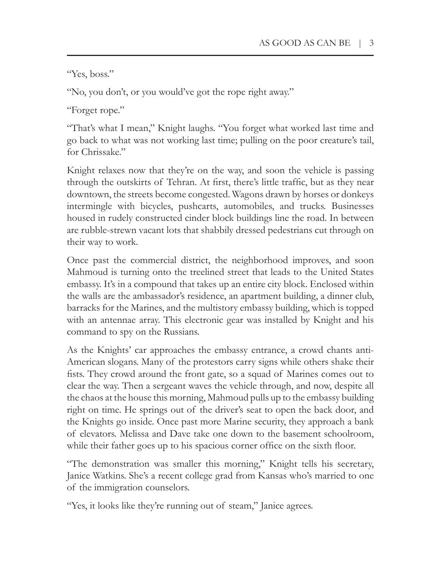"Yes, boss."

"No, you don't, or you would've got the rope right away."

"Forget rope."

"That's what I mean," Knight laughs. "You forget what worked last time and go back to what was not working last time; pulling on the poor creature's tail, for Chrissake."

Knight relaxes now that they're on the way, and soon the vehicle is passing through the outskirts of Tehran. At frst, there's little traffc, but as they near downtown, the streets become congested. Wagons drawn by horses or donkeys intermingle with bicycles, pushcarts, automobiles, and trucks. Businesses housed in rudely constructed cinder block buildings line the road. In between are rubble-strewn vacant lots that shabbily dressed pedestrians cut through on their way to work.

Once past the commercial district, the neighborhood improves, and soon Mahmoud is turning onto the treelined street that leads to the United States embassy. It's in a compound that takes up an entire city block. Enclosed within the walls are the ambassador's residence, an apartment building, a dinner club, barracks for the Marines, and the multistory embassy building, which is topped with an antennae array. This electronic gear was installed by Knight and his command to spy on the Russians.

As the Knights' car approaches the embassy entrance, a crowd chants anti-American slogans. Many of the protestors carry signs while others shake their fsts. They crowd around the front gate, so a squad of Marines comes out to clear the way. Then a sergeant waves the vehicle through, and now, despite all the chaos at the house this morning, Mahmoud pulls up to the embassy building right on time. He springs out of the driver's seat to open the back door, and the Knights go inside. Once past more Marine security, they approach a bank of elevators. Melissa and Dave take one down to the basement schoolroom, while their father goes up to his spacious corner office on the sixth floor.

"The demonstration was smaller this morning," Knight tells his secretary, Janice Watkins. She's a recent college grad from Kansas who's married to one of the immigration counselors.

"Yes, it looks like they're running out of steam," Janice agrees.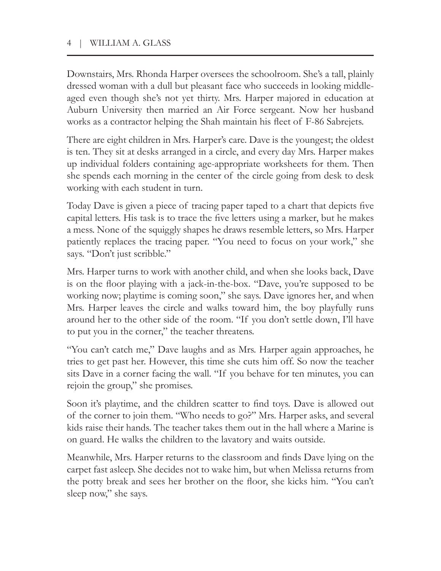Downstairs, Mrs. Rhonda Harper oversees the schoolroom. She's a tall, plainly dressed woman with a dull but pleasant face who succeeds in looking middleaged even though she's not yet thirty. Mrs. Harper majored in education at Auburn University then married an Air Force sergeant. Now her husband works as a contractor helping the Shah maintain his feet of F-86 Sabrejets.

There are eight children in Mrs. Harper's care. Dave is the youngest; the oldest is ten. They sit at desks arranged in a circle, and every day Mrs. Harper makes up individual folders containing age-appropriate worksheets for them. Then she spends each morning in the center of the circle going from desk to desk working with each student in turn.

Today Dave is given a piece of tracing paper taped to a chart that depicts fve capital letters. His task is to trace the fve letters using a marker, but he makes a mess. None of the squiggly shapes he draws resemble letters, so Mrs. Harper patiently replaces the tracing paper. "You need to focus on your work," she says. "Don't just scribble."

Mrs. Harper turns to work with another child, and when she looks back, Dave is on the foor playing with a jack-in-the-box. "Dave, you're supposed to be working now; playtime is coming soon," she says. Dave ignores her, and when Mrs. Harper leaves the circle and walks toward him, the boy playfully runs around her to the other side of the room. "If you don't settle down, I'll have to put you in the corner," the teacher threatens.

"You can't catch me," Dave laughs and as Mrs. Harper again approaches, he tries to get past her. However, this time she cuts him off. So now the teacher sits Dave in a corner facing the wall. "If you behave for ten minutes, you can rejoin the group," she promises.

Soon it's playtime, and the children scatter to fnd toys. Dave is allowed out of the corner to join them. "Who needs to go?" Mrs. Harper asks, and several kids raise their hands. The teacher takes them out in the hall where a Marine is on guard. He walks the children to the lavatory and waits outside.

Meanwhile, Mrs. Harper returns to the classroom and fnds Dave lying on the carpet fast asleep. She decides not to wake him, but when Melissa returns from the potty break and sees her brother on the foor, she kicks him. "You can't sleep now," she says.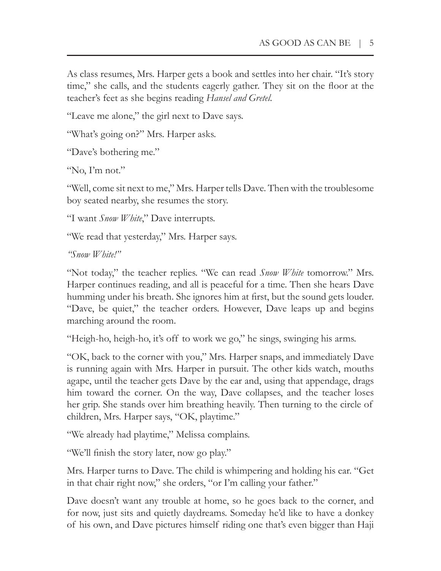As class resumes, Mrs. Harper gets a book and settles into her chair. "It's story time," she calls, and the students eagerly gather. They sit on the foor at the teacher's feet as she begins reading *Hansel and Gretel*.

"Leave me alone," the girl next to Dave says.

"What's going on?" Mrs. Harper asks.

"Dave's bothering me."

"No, I'm not."

"Well, come sit next to me," Mrs. Harper tells Dave. Then with the troublesome boy seated nearby, she resumes the story.

"I want *Snow White*," Dave interrupts.

"We read that yesterday," Mrs. Harper says.

*"Snow White!"*

"Not today," the teacher replies. "We can read *Snow White* tomorrow." Mrs. Harper continues reading, and all is peaceful for a time. Then she hears Dave humming under his breath. She ignores him at frst, but the sound gets louder. "Dave, be quiet," the teacher orders. However, Dave leaps up and begins marching around the room.

"Heigh-ho, heigh-ho, it's off to work we go," he sings, swinging his arms.

"OK, back to the corner with you," Mrs. Harper snaps, and immediately Dave is running again with Mrs. Harper in pursuit. The other kids watch, mouths agape, until the teacher gets Dave by the ear and, using that appendage, drags him toward the corner. On the way, Dave collapses, and the teacher loses her grip. She stands over him breathing heavily. Then turning to the circle of children, Mrs. Harper says, "OK, playtime."

"We already had playtime," Melissa complains.

"We'll fnish the story later, now go play."

Mrs. Harper turns to Dave. The child is whimpering and holding his ear. "Get in that chair right now," she orders, "or I'm calling your father."

Dave doesn't want any trouble at home, so he goes back to the corner, and for now, just sits and quietly daydreams. Someday he'd like to have a donkey of his own, and Dave pictures himself riding one that's even bigger than Haji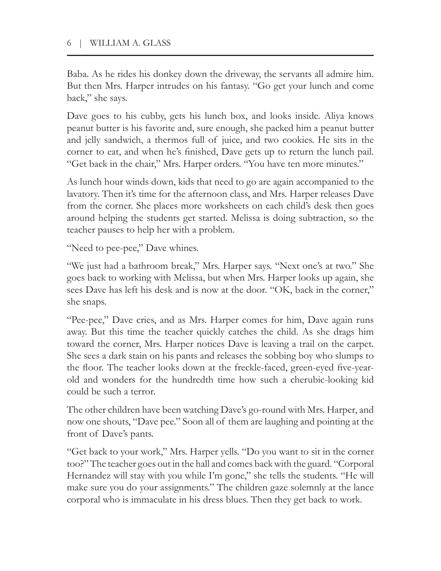Baba. As he rides his donkey down the driveway, the servants all admire him. But then Mrs. Harper intrudes on his fantasy. "Go get your lunch and come back," she says.

Dave goes to his cubby, gets his lunch box, and looks inside. Aliya knows peanut butter is his favorite and, sure enough, she packed him a peanut butter and jelly sandwich, a thermos full of juice, and two cookies. He sits in the corner to eat, and when he's fnished, Dave gets up to return the lunch pail. "Get back in the chair," Mrs. Harper orders. "You have ten more minutes."

As lunch hour winds down, kids that need to go are again accompanied to the lavatory. Then it's time for the afternoon class, and Mrs. Harper releases Dave from the corner. She places more worksheets on each child's desk then goes around helping the students get started. Melissa is doing subtraction, so the teacher pauses to help her with a problem.

"Need to pee-pee," Dave whines.

"We just had a bathroom break," Mrs. Harper says. "Next one's at two." She goes back to working with Melissa, but when Mrs. Harper looks up again, she sees Dave has left his desk and is now at the door. "OK, back in the corner," she snaps.

"Pee-pee," Dave cries, and as Mrs. Harper comes for him, Dave again runs away. But this time the teacher quickly catches the child. As she drags him toward the corner, Mrs. Harper notices Dave is leaving a trail on the carpet. She sees a dark stain on his pants and releases the sobbing boy who slumps to the foor. The teacher looks down at the freckle-faced, green-eyed fve-yearold and wonders for the hundredth time how such a cherubic-looking kid could be such a terror.

The other children have been watching Dave's go-round with Mrs. Harper, and now one shouts, "Dave pee." Soon all of them are laughing and pointing at the front of Dave's pants.

"Get back to your work," Mrs. Harper yells. "Do you want to sit in the corner too?" The teacher goes out in the hall and comes back with the guard. "Corporal Hernandez will stay with you while I'm gone," she tells the students. "He will make sure you do your assignments." The children gaze solemnly at the lance corporal who is immaculate in his dress blues. Then they get back to work.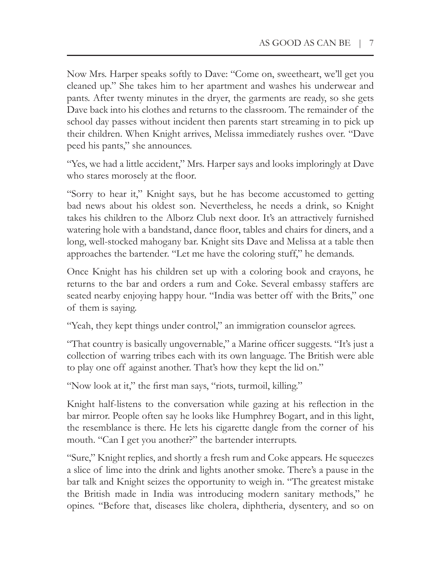Now Mrs. Harper speaks softly to Dave: "Come on, sweetheart, we'll get you cleaned up." She takes him to her apartment and washes his underwear and pants. After twenty minutes in the dryer, the garments are ready, so she gets Dave back into his clothes and returns to the classroom. The remainder of the school day passes without incident then parents start streaming in to pick up their children. When Knight arrives, Melissa immediately rushes over. "Dave peed his pants," she announces.

"Yes, we had a little accident," Mrs. Harper says and looks imploringly at Dave who stares morosely at the floor.

"Sorry to hear it," Knight says, but he has become accustomed to getting bad news about his oldest son. Nevertheless, he needs a drink, so Knight takes his children to the Alborz Club next door. It's an attractively furnished watering hole with a bandstand, dance foor, tables and chairs for diners, and a long, well-stocked mahogany bar. Knight sits Dave and Melissa at a table then approaches the bartender. "Let me have the coloring stuff," he demands.

Once Knight has his children set up with a coloring book and crayons, he returns to the bar and orders a rum and Coke. Several embassy staffers are seated nearby enjoying happy hour. "India was better off with the Brits," one of them is saying.

"Yeah, they kept things under control," an immigration counselor agrees.

"That country is basically ungovernable," a Marine offcer suggests. "It's just a collection of warring tribes each with its own language. The British were able to play one off against another. That's how they kept the lid on."

"Now look at it," the frst man says, "riots, turmoil, killing."

Knight half-listens to the conversation while gazing at his refection in the bar mirror. People often say he looks like Humphrey Bogart, and in this light, the resemblance is there. He lets his cigarette dangle from the corner of his mouth. "Can I get you another?" the bartender interrupts.

"Sure," Knight replies, and shortly a fresh rum and Coke appears. He squeezes a slice of lime into the drink and lights another smoke. There's a pause in the bar talk and Knight seizes the opportunity to weigh in. "The greatest mistake the British made in India was introducing modern sanitary methods," he opines. "Before that, diseases like cholera, diphtheria, dysentery, and so on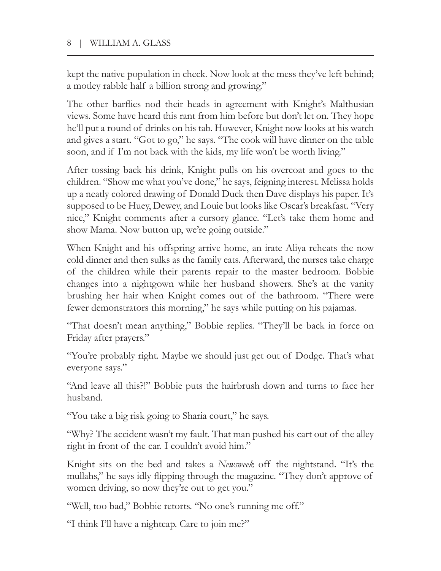kept the native population in check. Now look at the mess they've left behind; a motley rabble half a billion strong and growing."

The other barfies nod their heads in agreement with Knight's Malthusian views. Some have heard this rant from him before but don't let on. They hope he'll put a round of drinks on his tab. However, Knight now looks at his watch and gives a start. "Got to go," he says. "The cook will have dinner on the table soon, and if I'm not back with the kids, my life won't be worth living."

After tossing back his drink, Knight pulls on his overcoat and goes to the children. "Show me what you've done," he says, feigning interest. Melissa holds up a neatly colored drawing of Donald Duck then Dave displays his paper. It's supposed to be Huey, Dewey, and Louie but looks like Oscar's breakfast. "Very nice," Knight comments after a cursory glance. "Let's take them home and show Mama. Now button up, we're going outside."

When Knight and his offspring arrive home, an irate Aliya reheats the now cold dinner and then sulks as the family eats. Afterward, the nurses take charge of the children while their parents repair to the master bedroom. Bobbie changes into a nightgown while her husband showers. She's at the vanity brushing her hair when Knight comes out of the bathroom. "There were fewer demonstrators this morning," he says while putting on his pajamas.

"That doesn't mean anything," Bobbie replies. "They'll be back in force on Friday after prayers."

"You're probably right. Maybe we should just get out of Dodge. That's what everyone says."

"And leave all this?!" Bobbie puts the hairbrush down and turns to face her husband.

"You take a big risk going to Sharia court," he says.

"Why? The accident wasn't my fault. That man pushed his cart out of the alley right in front of the car. I couldn't avoid him."

Knight sits on the bed and takes a *Newsweek* off the nightstand. "It's the mullahs," he says idly fipping through the magazine. "They don't approve of women driving, so now they're out to get you."

"Well, too bad," Bobbie retorts. "No one's running me off."

"I think I'll have a nightcap. Care to join me?"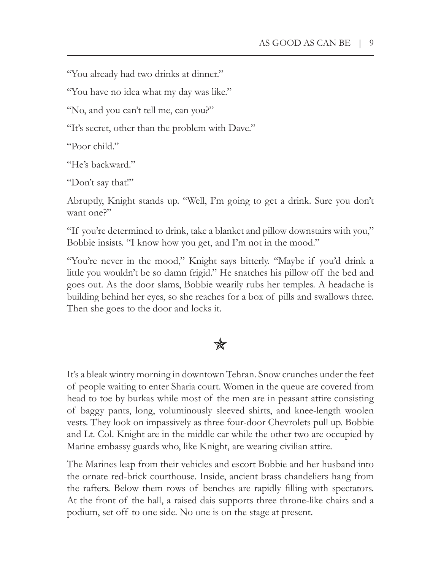"You already had two drinks at dinner."

"You have no idea what my day was like."

"No, and you can't tell me, can you?"

"It's secret, other than the problem with Dave."

"Poor child."

"He's backward."

"Don't say that!"

Abruptly, Knight stands up. "Well, I'm going to get a drink. Sure you don't want one?"

"If you're determined to drink, take a blanket and pillow downstairs with you," Bobbie insists. "I know how you get, and I'm not in the mood."

"You're never in the mood," Knight says bitterly. "Maybe if you'd drink a little you wouldn't be so damn frigid." He snatches his pillow off the bed and goes out. As the door slams, Bobbie wearily rubs her temples. A headache is building behind her eyes, so she reaches for a box of pills and swallows three. Then she goes to the door and locks it.

## $\frac{1}{\sqrt{2}}$

It's a bleak wintry morning in downtown Tehran. Snow crunches under the feet of people waiting to enter Sharia court. Women in the queue are covered from head to toe by burkas while most of the men are in peasant attire consisting of baggy pants, long, voluminously sleeved shirts, and knee-length woolen vests. They look on impassively as three four-door Chevrolets pull up. Bobbie and Lt. Col. Knight are in the middle car while the other two are occupied by Marine embassy guards who, like Knight, are wearing civilian attire.

The Marines leap from their vehicles and escort Bobbie and her husband into the ornate red-brick courthouse. Inside, ancient brass chandeliers hang from the rafters. Below them rows of benches are rapidly flling with spectators. At the front of the hall, a raised dais supports three throne-like chairs and a podium, set off to one side. No one is on the stage at present.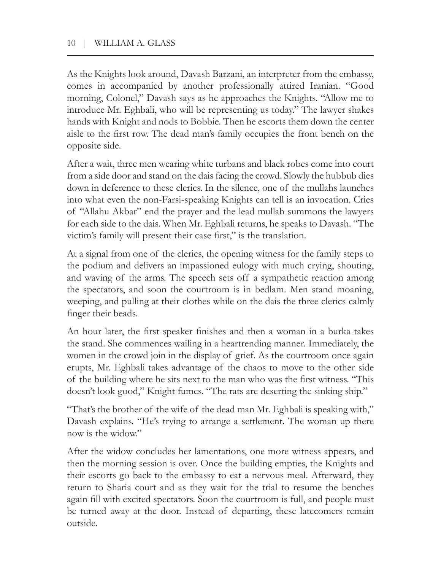As the Knights look around, Davash Barzani, an interpreter from the embassy, comes in accompanied by another professionally attired Iranian. "Good morning, Colonel," Davash says as he approaches the Knights. "Allow me to introduce Mr. Eghbali, who will be representing us today." The lawyer shakes hands with Knight and nods to Bobbie. Then he escorts them down the center aisle to the frst row. The dead man's family occupies the front bench on the opposite side.

After a wait, three men wearing white turbans and black robes come into court from a side door and stand on the dais facing the crowd. Slowly the hubbub dies down in deference to these clerics. In the silence, one of the mullahs launches into what even the non-Farsi-speaking Knights can tell is an invocation. Cries of "Allahu Akbar" end the prayer and the lead mullah summons the lawyers for each side to the dais. When Mr. Eghbali returns, he speaks to Davash. "The victim's family will present their case frst," is the translation.

At a signal from one of the clerics, the opening witness for the family steps to the podium and delivers an impassioned eulogy with much crying, shouting, and waving of the arms. The speech sets off a sympathetic reaction among the spectators, and soon the courtroom is in bedlam. Men stand moaning, weeping, and pulling at their clothes while on the dais the three clerics calmly fnger their beads.

An hour later, the frst speaker fnishes and then a woman in a burka takes the stand. She commences wailing in a heartrending manner. Immediately, the women in the crowd join in the display of grief. As the courtroom once again erupts, Mr. Eghbali takes advantage of the chaos to move to the other side of the building where he sits next to the man who was the frst witness. "This doesn't look good," Knight fumes. "The rats are deserting the sinking ship."

"That's the brother of the wife of the dead man Mr. Eghbali is speaking with," Davash explains. "He's trying to arrange a settlement. The woman up there now is the widow."

After the widow concludes her lamentations, one more witness appears, and then the morning session is over. Once the building empties, the Knights and their escorts go back to the embassy to eat a nervous meal. Afterward, they return to Sharia court and as they wait for the trial to resume the benches again fll with excited spectators. Soon the courtroom is full, and people must be turned away at the door. Instead of departing, these latecomers remain outside.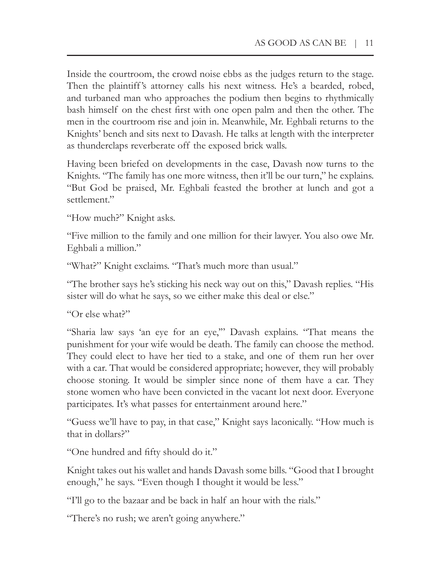Inside the courtroom, the crowd noise ebbs as the judges return to the stage. Then the plaintiff 's attorney calls his next witness. He's a bearded, robed, and turbaned man who approaches the podium then begins to rhythmically bash himself on the chest frst with one open palm and then the other. The men in the courtroom rise and join in. Meanwhile, Mr. Eghbali returns to the Knights' bench and sits next to Davash. He talks at length with the interpreter as thunderclaps reverberate off the exposed brick walls.

Having been briefed on developments in the case, Davash now turns to the Knights. "The family has one more witness, then it'll be our turn," he explains. "But God be praised, Mr. Eghbali feasted the brother at lunch and got a settlement."

"How much?" Knight asks.

"Five million to the family and one million for their lawyer. You also owe Mr. Eghbali a million."

"What?" Knight exclaims. "That's much more than usual."

"The brother says he's sticking his neck way out on this," Davash replies. "His sister will do what he says, so we either make this deal or else."

"Or else what?"

"Sharia law says 'an eye for an eye," Davash explains. "That means the punishment for your wife would be death. The family can choose the method. They could elect to have her tied to a stake, and one of them run her over with a car. That would be considered appropriate; however, they will probably choose stoning. It would be simpler since none of them have a car. They stone women who have been convicted in the vacant lot next door. Everyone participates. It's what passes for entertainment around here."

"Guess we'll have to pay, in that case," Knight says laconically. "How much is that in dollars?"

"One hundred and ffty should do it."

Knight takes out his wallet and hands Davash some bills. "Good that I brought enough," he says. "Even though I thought it would be less."

"I'll go to the bazaar and be back in half an hour with the rials."

"There's no rush; we aren't going anywhere."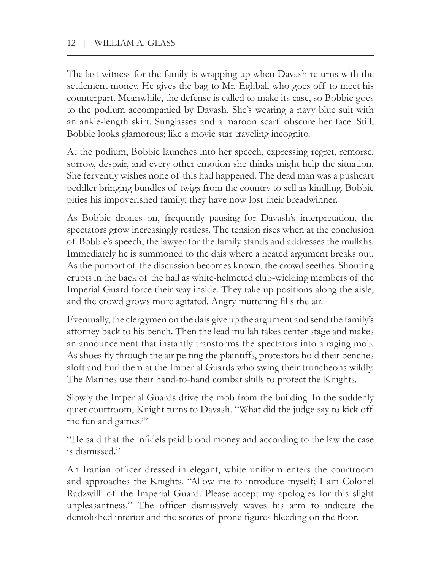The last witness for the family is wrapping up when Davash returns with the settlement money. He gives the bag to Mr. Eghbali who goes off to meet his counterpart. Meanwhile, the defense is called to make its case, so Bobbie goes to the podium accompanied by Davash. She's wearing a navy blue suit with an ankle-length skirt. Sunglasses and a maroon scarf obscure her face. Still, Bobbie looks glamorous; like a movie star traveling incognito.

At the podium, Bobbie launches into her speech, expressing regret, remorse, sorrow, despair, and every other emotion she thinks might help the situation. She fervently wishes none of this had happened. The dead man was a pushcart peddler bringing bundles of twigs from the country to sell as kindling. Bobbie pities his impoverished family; they have now lost their breadwinner.

As Bobbie drones on, frequently pausing for Davash's interpretation, the spectators grow increasingly restless. The tension rises when at the conclusion of Bobbie's speech, the lawyer for the family stands and addresses the mullahs. Immediately he is summoned to the dais where a heated argument breaks out. As the purport of the discussion becomes known, the crowd seethes. Shouting erupts in the back of the hall as white-helmeted club-wielding members of the Imperial Guard force their way inside. They take up positions along the aisle, and the crowd grows more agitated. Angry muttering flls the air.

Eventually, the clergymen on the dais give up the argument and send the family's attorney back to his bench. Then the lead mullah takes center stage and makes an announcement that instantly transforms the spectators into a raging mob. As shoes fy through the air pelting the plaintiffs, protestors hold their benches aloft and hurl them at the Imperial Guards who swing their truncheons wildly. The Marines use their hand-to-hand combat skills to protect the Knights.

Slowly the Imperial Guards drive the mob from the building. In the suddenly quiet courtroom, Knight turns to Davash. "What did the judge say to kick off the fun and games?"

"He said that the infdels paid blood money and according to the law the case is dismissed."

An Iranian offcer dressed in elegant, white uniform enters the courtroom and approaches the Knights. "Allow me to introduce myself; I am Colonel Radzwilli of the Imperial Guard. Please accept my apologies for this slight unpleasantness." The officer dismissively waves his arm to indicate the demolished interior and the scores of prone fgures bleeding on the foor.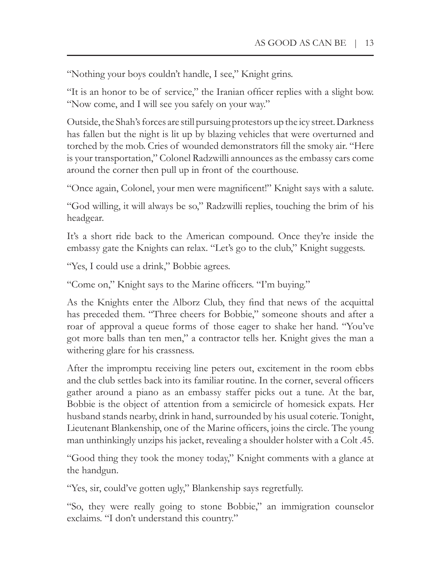"Nothing your boys couldn't handle, I see," Knight grins.

"It is an honor to be of service," the Iranian offcer replies with a slight bow. "Now come, and I will see you safely on your way."

Outside, the Shah's forces are still pursuing protestors up the icy street. Darkness has fallen but the night is lit up by blazing vehicles that were overturned and torched by the mob. Cries of wounded demonstrators fll the smoky air. "Here is your transportation," Colonel Radzwilli announces as the embassy cars come around the corner then pull up in front of the courthouse.

"Once again, Colonel, your men were magnifcent!" Knight says with a salute.

"God willing, it will always be so," Radzwilli replies, touching the brim of his headgear.

It's a short ride back to the American compound. Once they're inside the embassy gate the Knights can relax. "Let's go to the club," Knight suggests.

"Yes, I could use a drink," Bobbie agrees.

"Come on," Knight says to the Marine offcers. "I'm buying."

As the Knights enter the Alborz Club, they fnd that news of the acquittal has preceded them. "Three cheers for Bobbie," someone shouts and after a roar of approval a queue forms of those eager to shake her hand. "You've got more balls than ten men," a contractor tells her. Knight gives the man a withering glare for his crassness.

After the impromptu receiving line peters out, excitement in the room ebbs and the club settles back into its familiar routine. In the corner, several officers gather around a piano as an embassy staffer picks out a tune. At the bar, Bobbie is the object of attention from a semicircle of homesick expats. Her husband stands nearby, drink in hand, surrounded by his usual coterie. Tonight, Lieutenant Blankenship, one of the Marine offcers, joins the circle. The young man unthinkingly unzips his jacket, revealing a shoulder holster with a Colt .45.

"Good thing they took the money today," Knight comments with a glance at the handgun.

"Yes, sir, could've gotten ugly," Blankenship says regretfully.

"So, they were really going to stone Bobbie," an immigration counselor exclaims. "I don't understand this country."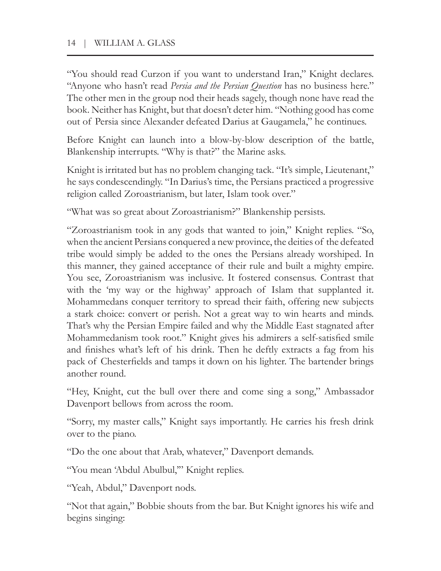"You should read Curzon if you want to understand Iran," Knight declares. "Anyone who hasn't read *Persia and the Persian Question* has no business here." The other men in the group nod their heads sagely, though none have read the book. Neither has Knight, but that doesn't deter him. "Nothing good has come out of Persia since Alexander defeated Darius at Gaugamela," he continues.

Before Knight can launch into a blow-by-blow description of the battle, Blankenship interrupts. "Why is that?" the Marine asks.

Knight is irritated but has no problem changing tack. "It's simple, Lieutenant," he says condescendingly. "In Darius's time, the Persians practiced a progressive religion called Zoroastrianism, but later, Islam took over."

"What was so great about Zoroastrianism?" Blankenship persists.

"Zoroastrianism took in any gods that wanted to join," Knight replies. "So, when the ancient Persians conquered a new province, the deities of the defeated tribe would simply be added to the ones the Persians already worshiped. In this manner, they gained acceptance of their rule and built a mighty empire. You see, Zoroastrianism was inclusive. It fostered consensus. Contrast that with the 'my way or the highway' approach of Islam that supplanted it. Mohammedans conquer territory to spread their faith, offering new subjects a stark choice: convert or perish. Not a great way to win hearts and minds. That's why the Persian Empire failed and why the Middle East stagnated after Mohammedanism took root." Knight gives his admirers a self-satisfed smile and fnishes what's left of his drink. Then he deftly extracts a fag from his pack of Chesterfelds and tamps it down on his lighter. The bartender brings another round.

"Hey, Knight, cut the bull over there and come sing a song," Ambassador Davenport bellows from across the room.

"Sorry, my master calls," Knight says importantly. He carries his fresh drink over to the piano.

"Do the one about that Arab, whatever," Davenport demands.

"You mean 'Abdul Abulbul,'" Knight replies.

"Yeah, Abdul," Davenport nods.

"Not that again," Bobbie shouts from the bar. But Knight ignores his wife and begins singing: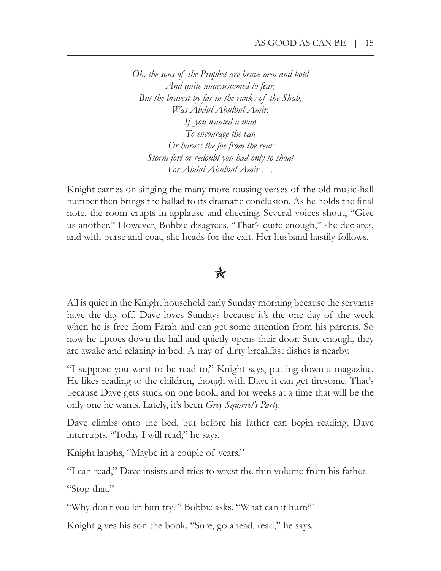*Oh, the sons of the Prophet are brave men and bold And quite unaccustomed to fear, But the bravest by far in the ranks of the Shah, Was Abdul Abulbul Amir. If you wanted a man To encourage the van Or harass the foe from the rear Storm fort or redoubt you had only to shout For Abdul Abulbul Amir . . .*

Knight carries on singing the many more rousing verses of the old music-hall number then brings the ballad to its dramatic conclusion. As he holds the fnal note, the room erupts in applause and cheering. Several voices shout, "Give us another." However, Bobbie disagrees. "That's quite enough," she declares, and with purse and coat, she heads for the exit. Her husband hastily follows.

## $\mathbb{\mathscr{F}}$

All is quiet in the Knight household early Sunday morning because the servants have the day off. Dave loves Sundays because it's the one day of the week when he is free from Farah and can get some attention from his parents. So now he tiptoes down the hall and quietly opens their door. Sure enough, they are awake and relaxing in bed. A tray of dirty breakfast dishes is nearby.

"I suppose you want to be read to," Knight says, putting down a magazine. He likes reading to the children, though with Dave it can get tiresome. That's because Dave gets stuck on one book, and for weeks at a time that will be the only one he wants. Lately, it's been *Grey Squirrel's Party.*

Dave climbs onto the bed, but before his father can begin reading, Dave interrupts. "Today I will read," he says.

Knight laughs, "Maybe in a couple of years."

"I can read," Dave insists and tries to wrest the thin volume from his father.

"Stop that."

"Why don't you let him try?" Bobbie asks. "What can it hurt?"

Knight gives his son the book. "Sure, go ahead, read," he says.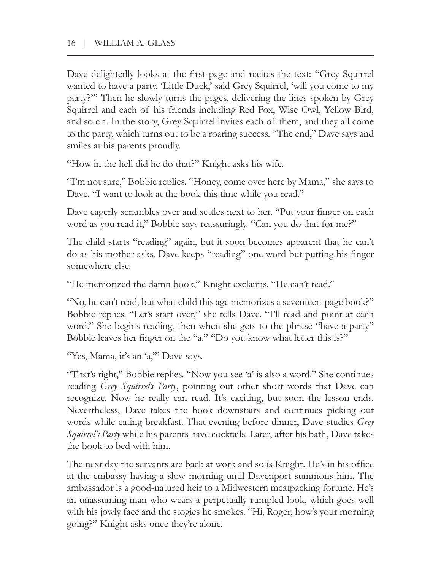Dave delightedly looks at the first page and recites the text: "Grey Squirrel" wanted to have a party. 'Little Duck,' said Grey Squirrel, 'will you come to my party?'" Then he slowly turns the pages, delivering the lines spoken by Grey Squirrel and each of his friends including Red Fox, Wise Owl, Yellow Bird, and so on. In the story, Grey Squirrel invites each of them, and they all come to the party, which turns out to be a roaring success. "The end," Dave says and smiles at his parents proudly.

"How in the hell did he do that?" Knight asks his wife.

"I'm not sure," Bobbie replies. "Honey, come over here by Mama," she says to Dave. "I want to look at the book this time while you read."

Dave eagerly scrambles over and settles next to her. "Put your finger on each word as you read it," Bobbie says reassuringly. "Can you do that for me?"

The child starts "reading" again, but it soon becomes apparent that he can't do as his mother asks. Dave keeps "reading" one word but putting his fnger somewhere else.

"He memorized the damn book," Knight exclaims. "He can't read."

"No, he can't read, but what child this age memorizes a seventeen-page book?" Bobbie replies. "Let's start over," she tells Dave. "I'll read and point at each word." She begins reading, then when she gets to the phrase "have a party" Bobbie leaves her fnger on the "a." "Do you know what letter this is?"

"Yes, Mama, it's an 'a," Dave says.

"That's right," Bobbie replies. "Now you see 'a' is also a word." She continues reading *Grey Squirrel's Party*, pointing out other short words that Dave can recognize. Now he really can read. It's exciting, but soon the lesson ends. Nevertheless, Dave takes the book downstairs and continues picking out words while eating breakfast. That evening before dinner, Dave studies *Grey Squirrel's Party* while his parents have cocktails. Later, after his bath, Dave takes the book to bed with him.

The next day the servants are back at work and so is Knight. He's in his office at the embassy having a slow morning until Davenport summons him. The ambassador is a good-natured heir to a Midwestern meatpacking fortune. He's an unassuming man who wears a perpetually rumpled look, which goes well with his jowly face and the stogies he smokes. "Hi, Roger, how's your morning going?" Knight asks once they're alone.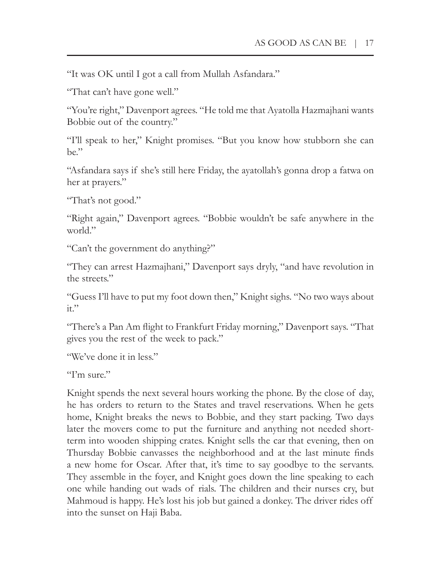"It was OK until I got a call from Mullah Asfandara."

"That can't have gone well."

"You're right," Davenport agrees. "He told me that Ayatolla Hazmajhani wants Bobbie out of the country."

"I'll speak to her," Knight promises. "But you know how stubborn she can be."

"Asfandara says if she's still here Friday, the ayatollah's gonna drop a fatwa on her at prayers."

"That's not good."

"Right again," Davenport agrees. "Bobbie wouldn't be safe anywhere in the world."

"Can't the government do anything?"

"They can arrest Hazmajhani," Davenport says dryly, "and have revolution in the streets."

"Guess I'll have to put my foot down then," Knight sighs. "No two ways about  $it.$ "

"There's a Pan Am fight to Frankfurt Friday morning," Davenport says. "That gives you the rest of the week to pack."

"We've done it in less."

"I'm sure."

Knight spends the next several hours working the phone. By the close of day, he has orders to return to the States and travel reservations. When he gets home, Knight breaks the news to Bobbie, and they start packing. Two days later the movers come to put the furniture and anything not needed shortterm into wooden shipping crates. Knight sells the car that evening, then on Thursday Bobbie canvasses the neighborhood and at the last minute fnds a new home for Oscar. After that, it's time to say goodbye to the servants. They assemble in the foyer, and Knight goes down the line speaking to each one while handing out wads of rials. The children and their nurses cry, but Mahmoud is happy. He's lost his job but gained a donkey. The driver rides off into the sunset on Haji Baba.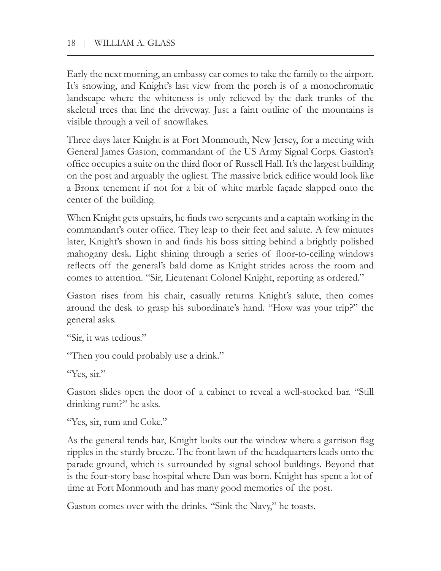Early the next morning, an embassy car comes to take the family to the airport. It's snowing, and Knight's last view from the porch is of a monochromatic landscape where the whiteness is only relieved by the dark trunks of the skeletal trees that line the driveway. Just a faint outline of the mountains is visible through a veil of snowfakes.

Three days later Knight is at Fort Monmouth, New Jersey, for a meeting with General James Gaston, commandant of the US Army Signal Corps. Gaston's offce occupies a suite on the third foor of Russell Hall. It's the largest building on the post and arguably the ugliest. The massive brick edifce would look like a Bronx tenement if not for a bit of white marble façade slapped onto the center of the building.

When Knight gets upstairs, he fnds two sergeants and a captain working in the commandant's outer office. They leap to their feet and salute. A few minutes later, Knight's shown in and fnds his boss sitting behind a brightly polished mahogany desk. Light shining through a series of foor-to-ceiling windows refects off the general's bald dome as Knight strides across the room and comes to attention. "Sir, Lieutenant Colonel Knight, reporting as ordered."

Gaston rises from his chair, casually returns Knight's salute, then comes around the desk to grasp his subordinate's hand. "How was your trip?" the general asks.

"Sir, it was tedious."

"Then you could probably use a drink."

"Yes, sir."

Gaston slides open the door of a cabinet to reveal a well-stocked bar. "Still drinking rum?" he asks.

"Yes, sir, rum and Coke."

As the general tends bar, Knight looks out the window where a garrison fag ripples in the sturdy breeze. The front lawn of the headquarters leads onto the parade ground, which is surrounded by signal school buildings. Beyond that is the four-story base hospital where Dan was born. Knight has spent a lot of time at Fort Monmouth and has many good memories of the post.

Gaston comes over with the drinks. "Sink the Navy," he toasts.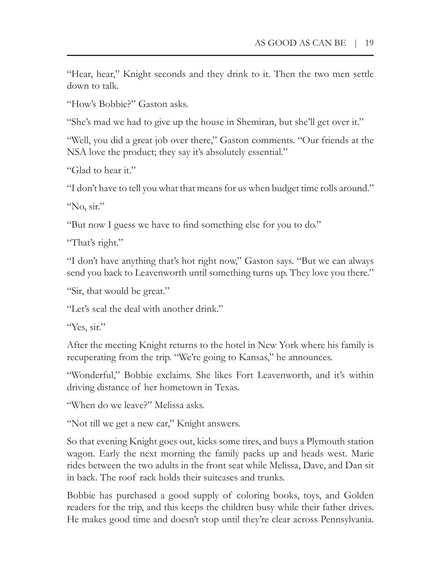"Hear, hear," Knight seconds and they drink to it. Then the two men settle down to talk.

"How's Bobbie?" Gaston asks.

"She's mad we had to give up the house in Shemiran, but she'll get over it."

"Well, you did a great job over there," Gaston comments. "Our friends at the NSA love the product; they say it's absolutely essential."

"Glad to hear it."

"I don't have to tell you what that means for us when budget time rolls around."

"No, sir."

"But now I guess we have to fnd something else for you to do."

"That's right."

"I don't have anything that's hot right now," Gaston says. "But we can always send you back to Leavenworth until something turns up. They love you there."

"Sir, that would be great."

"Let's seal the deal with another drink."

"Yes, sir."

After the meeting Knight returns to the hotel in New York where his family is recuperating from the trip. "We're going to Kansas," he announces.

"Wonderful," Bobbie exclaims. She likes Fort Leavenworth, and it's within driving distance of her hometown in Texas.

"When do we leave?" Melissa asks.

"Not till we get a new car," Knight answers.

So that evening Knight goes out, kicks some tires, and buys a Plymouth station wagon. Early the next morning the family packs up and heads west. Marie rides between the two adults in the front seat while Melissa, Dave, and Dan sit in back. The roof rack holds their suitcases and trunks.

Bobbie has purchased a good supply of coloring books, toys, and Golden readers for the trip, and this keeps the children busy while their father drives. He makes good time and doesn't stop until they're clear across Pennsylvania.